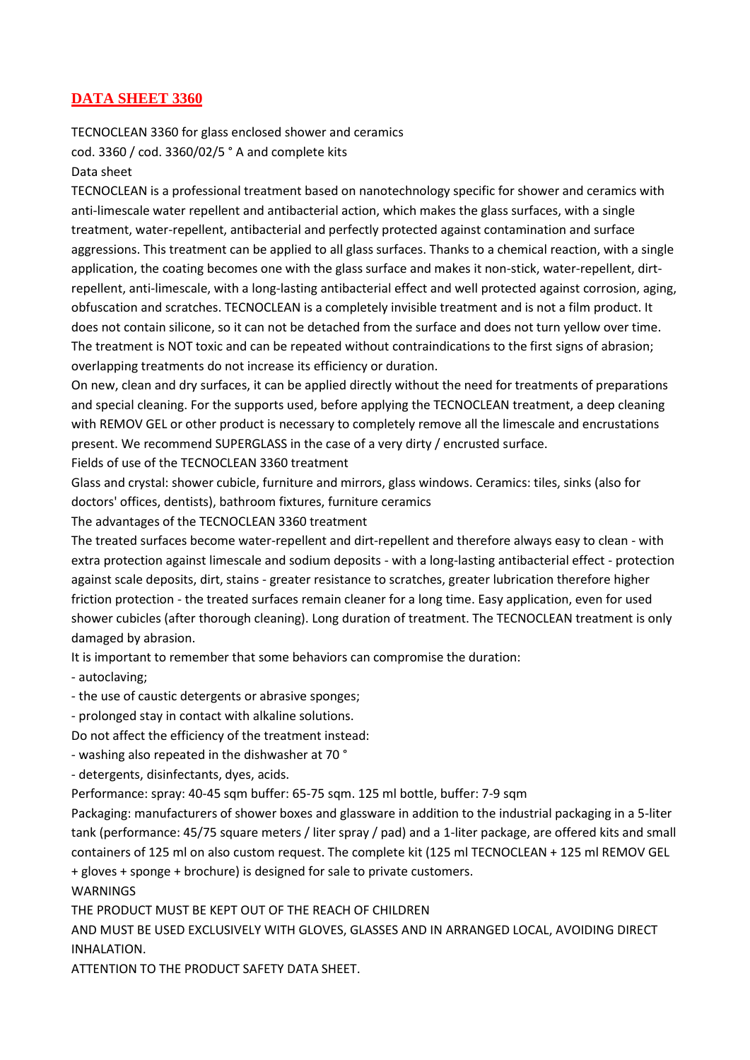## **DATA SHEET 3360**

TECNOCLEAN 3360 for glass enclosed shower and ceramics cod. 3360 / cod. 3360/02/5 ° A and complete kits Data sheet

TECNOCLEAN is a professional treatment based on nanotechnology specific for shower and ceramics with anti-limescale water repellent and antibacterial action, which makes the glass surfaces, with a single treatment, water-repellent, antibacterial and perfectly protected against contamination and surface aggressions. This treatment can be applied to all glass surfaces. Thanks to a chemical reaction, with a single application, the coating becomes one with the glass surface and makes it non-stick, water-repellent, dirtrepellent, anti-limescale, with a long-lasting antibacterial effect and well protected against corrosion, aging, obfuscation and scratches. TECNOCLEAN is a completely invisible treatment and is not a film product. It does not contain silicone, so it can not be detached from the surface and does not turn yellow over time. The treatment is NOT toxic and can be repeated without contraindications to the first signs of abrasion; overlapping treatments do not increase its efficiency or duration.

On new, clean and dry surfaces, it can be applied directly without the need for treatments of preparations and special cleaning. For the supports used, before applying the TECNOCLEAN treatment, a deep cleaning with REMOV GEL or other product is necessary to completely remove all the limescale and encrustations present. We recommend SUPERGLASS in the case of a very dirty / encrusted surface.

Fields of use of the TECNOCLEAN 3360 treatment

Glass and crystal: shower cubicle, furniture and mirrors, glass windows. Ceramics: tiles, sinks (also for doctors' offices, dentists), bathroom fixtures, furniture ceramics

The advantages of the TECNOCLEAN 3360 treatment

The treated surfaces become water-repellent and dirt-repellent and therefore always easy to clean - with extra protection against limescale and sodium deposits - with a long-lasting antibacterial effect - protection against scale deposits, dirt, stains - greater resistance to scratches, greater lubrication therefore higher friction protection - the treated surfaces remain cleaner for a long time. Easy application, even for used shower cubicles (after thorough cleaning). Long duration of treatment. The TECNOCLEAN treatment is only damaged by abrasion.

It is important to remember that some behaviors can compromise the duration:

- autoclaving;

- the use of caustic detergents or abrasive sponges;

- prolonged stay in contact with alkaline solutions.

Do not affect the efficiency of the treatment instead:

- washing also repeated in the dishwasher at 70 °

- detergents, disinfectants, dyes, acids.

Performance: spray: 40-45 sqm buffer: 65-75 sqm. 125 ml bottle, buffer: 7-9 sqm

Packaging: manufacturers of shower boxes and glassware in addition to the industrial packaging in a 5-liter tank (performance: 45/75 square meters / liter spray / pad) and a 1-liter package, are offered kits and small containers of 125 ml on also custom request. The complete kit (125 ml TECNOCLEAN + 125 ml REMOV GEL + gloves + sponge + brochure) is designed for sale to private customers.

WARNINGS

THE PRODUCT MUST BE KEPT OUT OF THE REACH OF CHILDREN

AND MUST BE USED EXCLUSIVELY WITH GLOVES, GLASSES AND IN ARRANGED LOCAL, AVOIDING DIRECT INHALATION.

ATTENTION TO THE PRODUCT SAFETY DATA SHEET.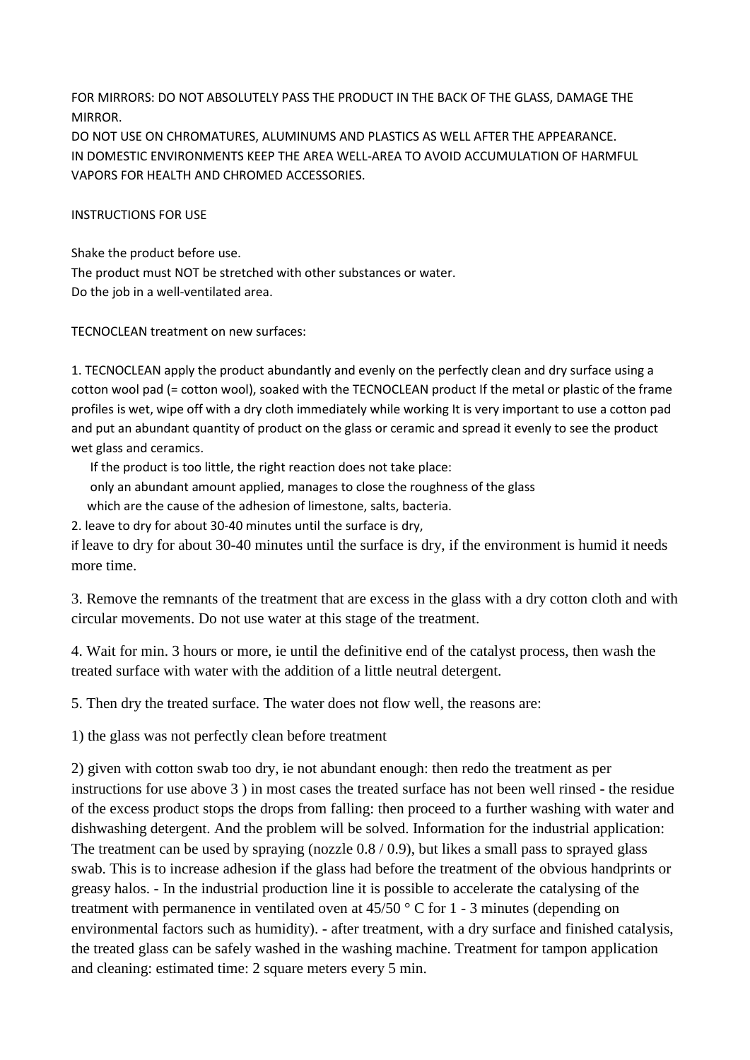FOR MIRRORS: DO NOT ABSOLUTELY PASS THE PRODUCT IN THE BACK OF THE GLASS, DAMAGE THE MIRROR.

DO NOT USE ON CHROMATURES, ALUMINUMS AND PLASTICS AS WELL AFTER THE APPEARANCE. IN DOMESTIC ENVIRONMENTS KEEP THE AREA WELL-AREA TO AVOID ACCUMULATION OF HARMFUL VAPORS FOR HEALTH AND CHROMED ACCESSORIES.

INSTRUCTIONS FOR USE

Shake the product before use. The product must NOT be stretched with other substances or water. Do the job in a well-ventilated area.

TECNOCLEAN treatment on new surfaces:

1. TECNOCLEAN apply the product abundantly and evenly on the perfectly clean and dry surface using a cotton wool pad (= cotton wool), soaked with the TECNOCLEAN product If the metal or plastic of the frame profiles is wet, wipe off with a dry cloth immediately while working It is very important to use a cotton pad and put an abundant quantity of product on the glass or ceramic and spread it evenly to see the product wet glass and ceramics.

If the product is too little, the right reaction does not take place:

only an abundant amount applied, manages to close the roughness of the glass

which are the cause of the adhesion of limestone, salts, bacteria.

2. leave to dry for about 30-40 minutes until the surface is dry,

if leave to dry for about 30-40 minutes until the surface is dry, if the environment is humid it needs more time.

3. Remove the remnants of the treatment that are excess in the glass with a dry cotton cloth and with circular movements. Do not use water at this stage of the treatment.

4. Wait for min. 3 hours or more, ie until the definitive end of the catalyst process, then wash the treated surface with water with the addition of a little neutral detergent.

5. Then dry the treated surface. The water does not flow well, the reasons are:

1) the glass was not perfectly clean before treatment

2) given with cotton swab too dry, ie not abundant enough: then redo the treatment as per instructions for use above 3 ) in most cases the treated surface has not been well rinsed - the residue of the excess product stops the drops from falling: then proceed to a further washing with water and dishwashing detergent. And the problem will be solved. Information for the industrial application: The treatment can be used by spraying (nozzle 0.8 / 0.9), but likes a small pass to sprayed glass swab. This is to increase adhesion if the glass had before the treatment of the obvious handprints or greasy halos. - In the industrial production line it is possible to accelerate the catalysing of the treatment with permanence in ventilated oven at 45/50 ° C for 1 - 3 minutes (depending on environmental factors such as humidity). - after treatment, with a dry surface and finished catalysis, the treated glass can be safely washed in the washing machine. Treatment for tampon application and cleaning: estimated time: 2 square meters every 5 min.